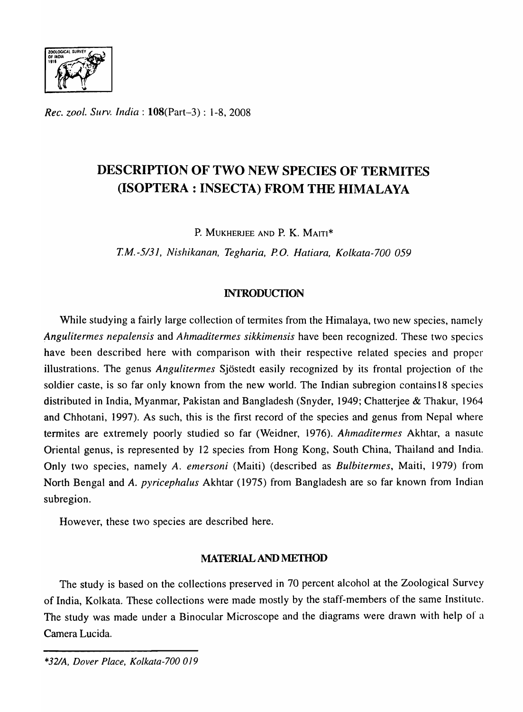

*Rec. ZOO!. Surv. India:* l08(Part-3) : 1-8, 2008

## **DESCRIPTION OF TWO NEW SPECIES OF TERMITES (ISOPTERA : INSECTA) FROM THE HIMALAYA**

P. MUKHERJEE AND P. K. MAITI\*

*T.M.-5/3J, Nishikanan, Tegharia, P.O. Hatiara, Kolkata-700 059* 

## **INTRODUCTION**

While studying a fairly large collection of termites from the Himalaya, two new species, namely *Angulitermes nepalensis* and *Ahmaditermes sikkimensis* have been recognized. These two species have been described here with comparison with their respective related species and proper illustrations. The genus *Angulitermes* Sjostedt easily recognized by its frontal projection of the soldier caste, is so far only known from the new world. The Indian subregion contains 18 species distributed in India, Myanmar, Pakistan and Bangladesh (Snyder, 1949; Chatterjee & Thakur, 1964 and Chhotani, 1997). As such, this is the first record of the species and genus from Nepal where termites are extremely poorly studied so far (Weidner, 1976). *Ahmaditermes* Akhtar, a nasutc Oriental genus, is represented by 12 species from Hong Kong, South China, Thailand and India. Only two species, namely *A. emersoni* (Maiti) (described as *Bulbitennes,* Maiti, 1979) from North Bengal and *A. pyricephalus* Akhtar (1975) from Bangladesh are so far known from Indian subregion.

However, these two species are described here.

## MATERIAL AND **METHOD**

The study is based on the collections preserved in 70 percent alcohol at the Zoological Survey of India, Kolkata. These collections were made mostly by the staff-members of the same Institute. The study was made under a Binocular Microscope and the diagrams were drawn with help of a Camera Lucida.

*<sup>\*32</sup>IA, Dover Place, Kolkala-700 019*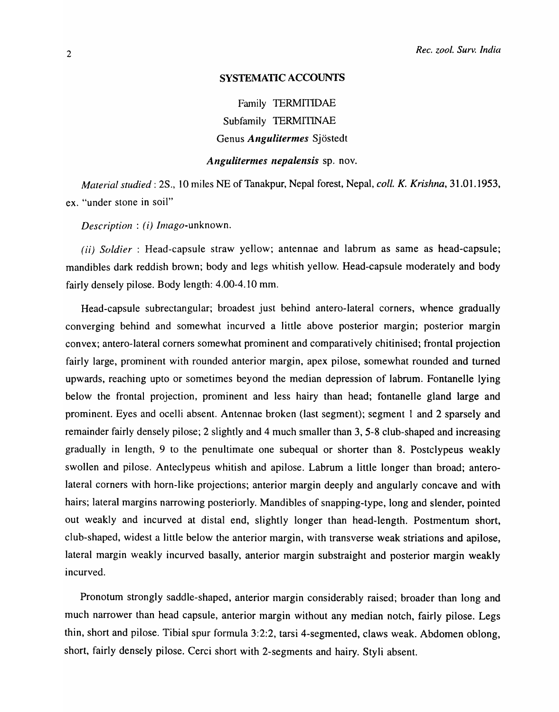### SYSTEMATIC ACCOUNTS

Family TERMITIDAE Subfamily TERMITINAE Genus *Angulitermes* Sjostedt

## *Angulitermes nepalensis sp. nov.*

*Material studied:* 2S., 10 miles NE of Tanakpur, Nepal forest, Nepal, *coil. K. Krishna,* 31.01.1953, ex. "under stone in soil"

*Description: (i) Imago-unknown.* 

*(ii) Soldier*: Head-capsule straw yellow; antennae and labrum as same as head-capsule; mandibles dark reddish brown; body and legs whitish yellow. Head-capsule moderately and body fairly densely pilose. Body length: 4.00-4.10 mm.

Head-capsule subrectangular; broadest just behind antero-Iateral corners, whence gradually converging behind and somewhat incurved a little above posterior margin; posterior margin convex; antero-lateraI corners somewhat prominent and comparatively chitinised; frontal projection fairly large, prominent with rounded anterior margin, apex pilose, somewhat rounded and turned upwards, reaching upto or sometimes beyond the median depression of labrum. Fontanelle lying below the frontal projection, prominent and less hairy than head; fontanelle gland large and prominent. Eyes and ocelli absent. Antennae broken (last segment); segment I and 2 sparsely and remainder fairly densely pilose; 2 slightly and 4 much smaller than 3, 5-8 club-shaped and increasing gradually in length, 9 to the penultimate one subequal or shorter than 8. Postclypeus weakly swollen and pilose. Anteclypeus whitish and apilose. Labrum a little longer than broad; anterolateral corners with horn-like projections; anterior margin deeply and angularly concave and with hairs; lateral margins narrowing posteriorly. Mandibles of snapping-type, long and slender, pointed out weakly and incurved at distal end, slightly longer than head-length. Postmentum short, club-shaped, widest a little below the anterior margin, with transverse weak striations and apilose, lateral margin weakly incurved basally, anterior margin substraight and posterior margin weakly incurved.

Pronotum strongly saddle-shaped, anterior margin considerably raised; broader than long and much narrower than head capsule, anterior margin without any median notch, fairly pilose. Legs thin, short and pilose. Tibial spur formula 3:2:2, tarsi 4-segmented, claws weak. Abdomen oblong, short, fairly densely pilose. Cerci short with 2-segments and hairy. Styli absent.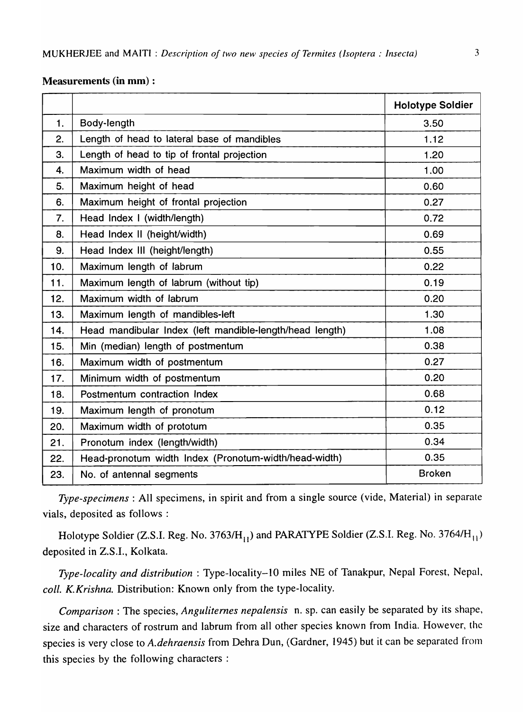### Measurements (in mm) :

|                |                                                          | <b>Holotype Soldier</b> |
|----------------|----------------------------------------------------------|-------------------------|
| $\mathbf{1}$ . | Body-length                                              | 3.50                    |
| 2.             | Length of head to lateral base of mandibles              | 1.12                    |
| 3.             | Length of head to tip of frontal projection              | 1.20                    |
| 4.             | Maximum width of head                                    | 1.00                    |
| 5.             | Maximum height of head                                   | 0.60                    |
| 6.             | Maximum height of frontal projection                     | 0.27                    |
| 7.             | Head Index I (width/length)                              | 0.72                    |
| 8.             | Head Index II (height/width)                             | 0.69                    |
| 9.             | Head Index III (height/length)                           | 0.55                    |
| 10.            | Maximum length of labrum                                 | 0.22                    |
| 11.            | Maximum length of labrum (without tip)                   | 0.19                    |
| 12.            | Maximum width of labrum                                  | 0.20                    |
| 13.            | Maximum length of mandibles-left                         | 1.30                    |
| 14.            | Head mandibular Index (left mandible-length/head length) | 1.08                    |
| 15.            | Min (median) length of postmentum                        | 0.38                    |
| 16.            | Maximum width of postmentum                              | 0.27                    |
| 17.            | Minimum width of postmentum                              | 0.20                    |
| 18.            | Postmentum contraction Index                             | 0.68                    |
| 19.            | Maximum length of pronotum                               | 0.12                    |
| 20.            | Maximum width of prototum                                | 0.35                    |
| 21.            | Pronotum index (length/width)                            | 0.34                    |
| 22.            | Head-pronotum width Index (Pronotum-width/head-width)    | 0.35                    |
| 23.            | No. of antennal segments                                 | <b>Broken</b>           |

*Type-specimens:* All specimens, in spirit and from a single source (vide, Material) in separate vials, deposited as follows:

Holotype Soldier (Z.S.I. Reg. No. 3763/H<sub>11</sub>) and PARATYPE Soldier (Z.S.I. Reg. No. 3764/H<sub>11</sub>) deposited in Z.S.I., Kolkata.

*Type-locality and distribution:* Type-locality-lO miles NE of Tanakpur, Nepal Forest, Nepal, *coli. K.Krishna.* Distribution: Known only from the type-locality.

*Comparison:* The species, *Anguliternes nepalensis* n. sp. can easily be separated by its shape, size and characters of rostrum and labrum from all other species known from India. However, the species is very close to *A.dehraensis* from Dehra Dun, (Gardner, 1945) but it can be separated from this species by the following characters :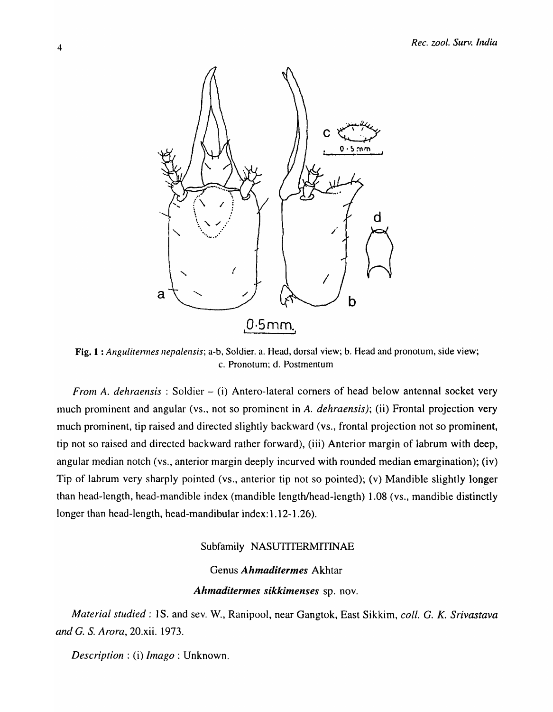

Fig. 1 : *Angulitermes nepalensis*; a-b, Soldier. a. Head, dorsal view; b. Head and pronotum, side view; c. Pronotum; d. Postmentum

*From A. dehraensis* : Soldier – (i) Antero-lateral corners of head below antennal socket very much prominent and angular (vs., not so prominent in *A. dehraensis);* (ii) Frontal projection very much prominent, tip raised and directed slightly backward (vs., frontal projection not so prominent, tip not so raised and directed backward rather forward), (iii) Anterior margin of labrum with deep, angular median notch (vs., anterior margin deeply incurved with rounded median emargination); (iv) Tip of labrum very sharply pointed (vs., anterior tip not so pointed); (v) Mandible slightly longer than head-length, head-mandible index (mandible length/head-length) 1.08 (vs., mandible distinctly longer than head-length, head-mandibular index: 1.12-1.26).

## Subfamily NASUTITERMITINAE

# Genus *Ahmaditermes* Akhtar

## Ahmaditermes sikkimenses sp. nov.

*Material studied:* 1 S. and sev. W., Ranipool, near Gangtok, East Sikkim, *coli.* G. *K. Srivastava and* G. S. *Arora,* 20.xii. 1973.

*Description:* (i) *Imago:* Unknown.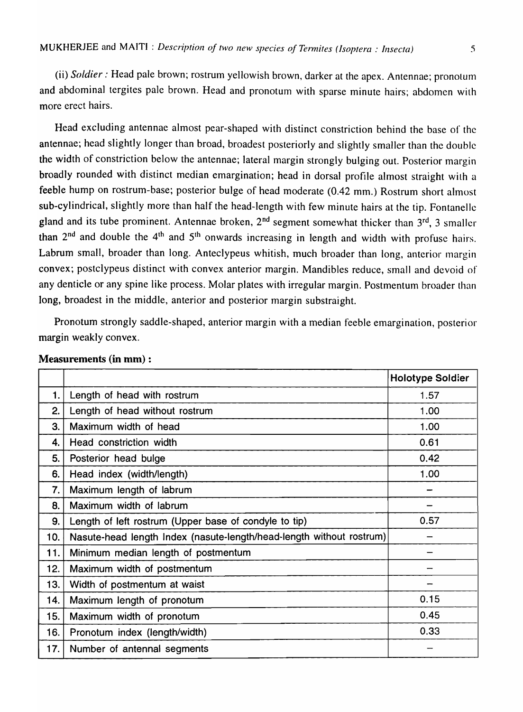(ii) *Soldier:* Head pale brown; rostrum yellowish brown, darker at the apex. Antennae; pronotum and abdominal tergites pale brown. Head and pronotum with sparse minute hairs; abdomen with more erect hairs.

Head excluding antennae almost pear-shaped with distinct constriction behind the base of the antennae; head slightly longer than broad, broadest posteriorly and slightly smaller than the double the width of constriction below the antennae; lateral margin strongly bulging out. Posterior margin broadly rounded with distinct median emargination; head in dorsal profile almost straight with a feeble hump on rostrum-base; posterior bulge of head moderate (0.42 mm.) Rostrum short almost sub-cylindrical, slightly more than half the head-length with few minute hairs at the tip. Fontanelle gland and its tube prominent. Antennae broken,  $2^{nd}$  segment somewhat thicker than  $3^{rd}$ , 3 smaller than  $2^{nd}$  and double the  $4^{th}$  and  $5^{th}$  onwards increasing in length and width with profuse hairs. Labrum small, broader than long. Anteclypeus whitish, much broader than long, anterior margin convex; postclypeus distinct with convex anterior margin. Mandibles reduce, small and devoid of any denticle or any spine like process. Molar plates with irregular margin. Postmentum broader than long, broadest in the middle, anterior and posterior margin substraight.

Pronotum strongly saddle-shaped, anterior margin with a median feeble emargination, posterior margin weakly convex.

|     |                                                                      | <b>Holotype Soldier</b> |
|-----|----------------------------------------------------------------------|-------------------------|
| 1.  | Length of head with rostrum                                          | 1.57                    |
| 2.  | Length of head without rostrum                                       | 1.00                    |
| 3.  | Maximum width of head                                                | 1.00                    |
| 4.  | Head constriction width                                              | 0.61                    |
| 5.  | Posterior head bulge                                                 | 0.42                    |
| 6.  | Head index (width/length)                                            | 1.00                    |
| 7.  | Maximum length of labrum                                             |                         |
| 8.  | Maximum width of labrum                                              |                         |
| 9.  | Length of left rostrum (Upper base of condyle to tip)                | 0.57                    |
| 10. | Nasute-head length Index (nasute-length/head-length without rostrum) |                         |
| 11. | Minimum median length of postmentum                                  |                         |
| 12. | Maximum width of postmentum                                          |                         |
| 13. | Width of postmentum at waist                                         |                         |
| 14. | Maximum length of pronotum                                           | 0.15                    |
| 15. | Maximum width of pronotum                                            | 0.45                    |
| 16. | Pronotum index (length/width)                                        | 0.33                    |
| 17. | Number of antennal segments                                          |                         |

### Measurements (in mm) :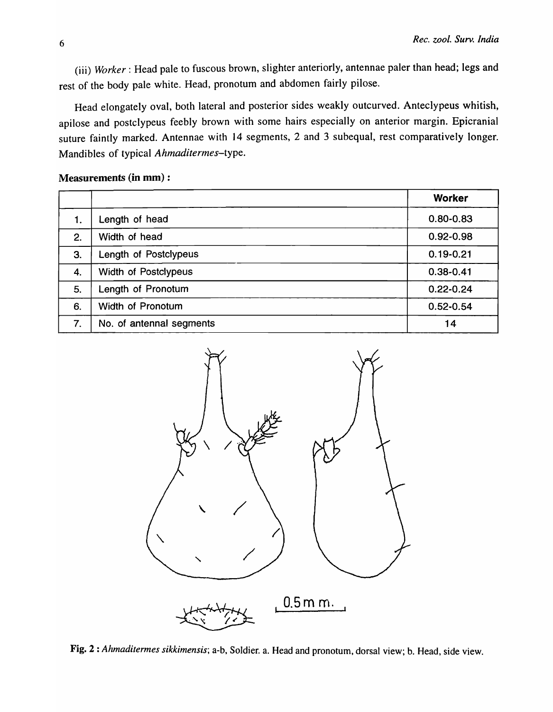(iii) *Worker:* Head pale to fuscous brown, slighter anteriorly, antennae paler than head; legs and rest of the body pale white. Head, pronotum and abdomen fairly pilose.

Head elongately oval, both lateral and posterior sides weakly outcurved. Anteclypeus whitish, apilose and postclypeus feebly brown with some hairs especially on anterior margin. Epicranial suture faintly marked. Antennae with 14 segments, 2 and 3 subequal, rest comparatively longer. Mandibles of typical *Ahmaditermes-type.* 

### Measurements (in mm) :

|    |                          | <b>Worker</b> |
|----|--------------------------|---------------|
| 1. | Length of head           | $0.80 - 0.83$ |
| 2. | Width of head            | $0.92 - 0.98$ |
| 3. | Length of Postclypeus    | $0.19 - 0.21$ |
| 4. | Width of Postclypeus     | $0.38 - 0.41$ |
| 5. | Length of Pronotum       | $0.22 - 0.24$ |
| 6. | Width of Pronotum        | $0.52 - 0.54$ |
| 7. | No. of antennal segments | 14            |



Fig. 2 : *Ahmaditermes sikkimensis;* a-b, Soldier. a. Head and pronotum, dorsal view; b. Head, side view.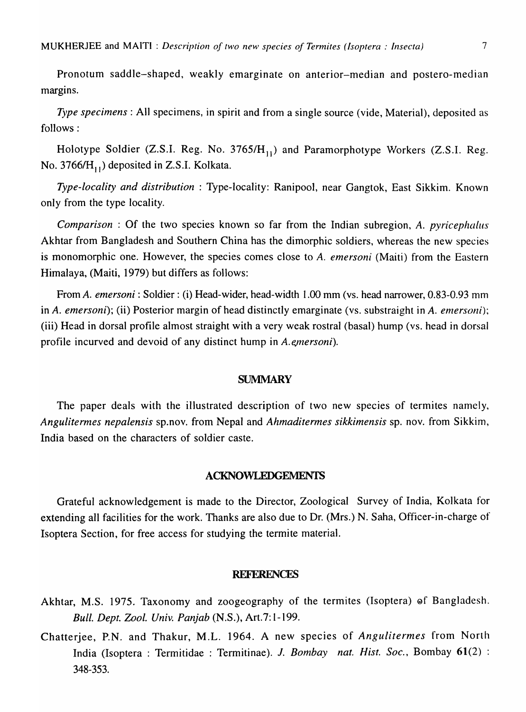Pronotum saddle-shaped, weakly emarginate on anterior-median and postero-median margins.

*Type specimens:* All specimens, in spirit and from a single source (vide, Material), deposited as follows:

Holotype Soldier (Z.S.I. Reg. No.  $3765/H_{11}$ ) and Paramorphotype Workers (Z.S.I. Reg. No.  $3766/H_{11}$ ) deposited in Z.S.I. Kolkata.

*Type-locality and distribution* : Type-locality: Ranipool, near Gangtok, East Sikkim. Known only from the type locality.

*Comparison* : Of the two species known so far from the Indian subregion, A. *pyricephalus*  Akhtar from Bangladesh and Southern China has the dimorphic soldiers, whereas the new species is monomorphic one. However, the species comes close to A. *emersoni* (Maiti) from the Eastern Himalaya, (Maiti, 1979) but differs as follows:

From A. *emersoni* : Soldier: (i) Head-wider, head-width 1.00 mm (vs. head narrower, 0.83-0.93 mm in A. *emersoni);* (ii) Posterior margin of head distinctly emarginate (vs. substraight in *A. emersoni);*  (iii) Head in dorsal profile almost straight with a very weak rostral (basal) hump (vs. head in dorsal profile incurved and devoid of any distinct hump in *A.emersoni*).

### **SUMMARY**

The paper deals with the illustrated description of two new species of termites namely, *Angulitermes nepaiensis* sp.nov. from Nepal and *Ahmaditermes sikkimensis* sp. nov. from Sikkim, India based on the characters of soldier caste.

### ACKNOWLEDGEMENTS

Grateful acknowledgement is made to the Director, Zoological Survey of India, Kolkata for extending all facilities for the work. Thanks are also due to Dr. (Mrs.) N. Saha, Officer-in-charge of Isoptera Section, for free access for studying the termite material.

#### **REFERENCES**

- Akhtar, M.S. 1975. Taxonomy and zoogeography of the termites (Isoptera) of Bangladesh. *Bull. Dept. Zoo!. Univ. Panjab* (N.S.), Art.7: 1-199.
- Chatterjee, P.N. and Thakur, M.L. 1964. A new species of *Angulitermes* from North India (lsoptera : Termitidae : Termitinae). *1. Bombay nat. Hist. Soc.,* Bombay 61(2) : 348-353.